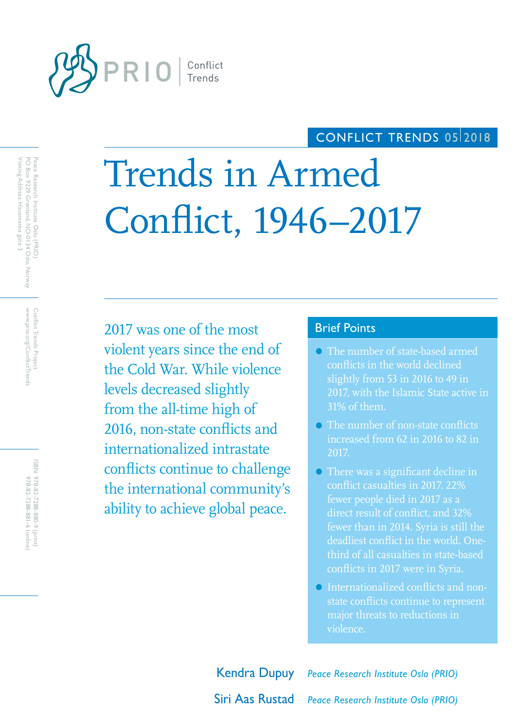

## CONFLICT TRENDS 0512018

# Trends in Armed Conflict, 1946–2017

2017 was one of the most Brief Points violent years since the end of the Cold War. While violence levels decreased slightly from the all-time high of 2016, non-state conflicts and internationalized intrastate conflicts continue to challenge the international community's ability to achieve global peace.

- The number of state-based armed conflicts in the world declined slightly from 53 in 2016 to 49 in 2017, with the Islamic State active in 31% of them.
- The number of non-state conflicts increased from 62 in 2016 to 82 in 2017.
- There was a significant decline in conflict casualties in 2017. 22% fewer people died in 2017 as a fewer than in 2014. Syria is still the deadliest conflict in the world. Onethird of all casualties in state-based conflicts in 2017 were in Syria.
- Internationalized conflicts and nonstate conflicts continue to represent major threats to reductions in violence.

Kendra Dupuy *Peace Research Institute Oslo (PRIO)* Siri Aas Rustad *Peace Research Institute Oslo (PRIO)*

www.prio.org/ConflictTrends Conflict Trends Project www.prio.org/ConflictTrends Conflict Trends Project

ISBN: 978-82-7288-880-9 (print) 978-82-7288-881-6 (online 978-82-7288-881-6 (online) 978-82-7288-880-9 (print)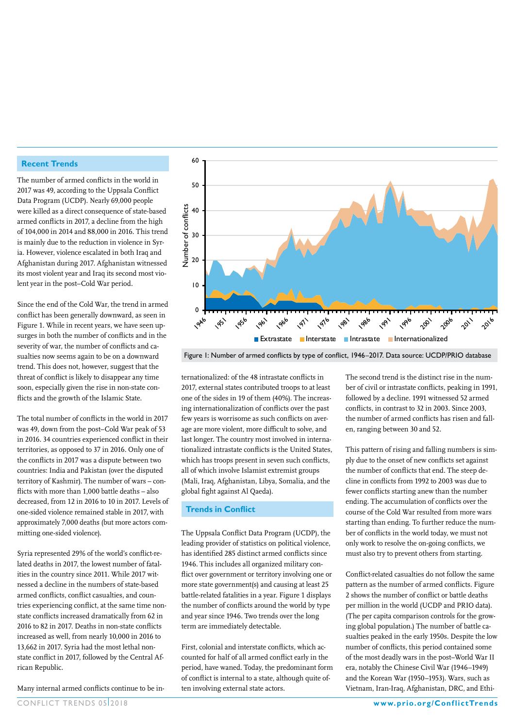#### **Recent Trends**

The number of armed conflicts in the world in 2017 was 49, according to the Uppsala Conflict Data Program (UCDP). Nearly 69,000 people were killed as a direct consequence of state-based armed conflicts in 2017, a decline from the high of 104,000 in 2014 and 88,000 in 2016. This trend is mainly due to the reduction in violence in Syria. However, violence escalated in both Iraq and Afghanistan during 2017. Afghanistan witnessed its most violent year and Iraq its second most violent year in the post–Cold War period.

Since the end of the Cold War, the trend in armed conflict has been generally downward, as seen in Figure 1. While in recent years, we have seen upsurges in both the number of conflicts and in the severity of war, the number of conflicts and casualties now seems again to be on a downward trend. This does not, however, suggest that the threat of conflict is likely to disappear any time soon, especially given the rise in non-state conflicts and the growth of the Islamic State.

The total number of conflicts in the world in 2017 was 49, down from the post–Cold War peak of 53 in 2016. 34 countries experienced conflict in their territories, as opposed to 37 in 2016. Only one of the conflicts in 2017 was a dispute between two countries: India and Pakistan (over the disputed territory of Kashmir). The number of wars – conflicts with more than 1,000 battle deaths – also decreased, from 12 in 2016 to 10 in 2017. Levels of one-sided violence remained stable in 2017, with approximately 7,000 deaths (but more actors committing one-sided violence).

Syria represented 29% of the world's conflict-related deaths in 2017, the lowest number of fatalities in the country since 2011. While 2017 witnessed a decline in the numbers of state-based armed conflicts, conflict casualties, and countries experiencing conflict, at the same time nonstate conflicts increased dramatically from 62 in 2016 to 82 in 2017. Deaths in non-state conflicts increased as well, from nearly 10,000 in 2016 to 13,662 in 2017. Syria had the most lethal nonstate conflict in 2017, followed by the Central African Republic.

Many internal armed conflicts continue to be in-



Figure 1: Number of armed conflicts by type of conflict, 1946–2017. Data source: UCDP/PRIO database

ternationalized: of the 48 intrastate conflicts in 2017, external states contributed troops to at least one of the sides in 19 of them (40%). The increasing internationalization of conflicts over the past few years is worrisome as such conflicts on average are more violent, more difficult to solve, and last longer. The country most involved in internationalized intrastate conflicts is the United States, which has troops present in seven such conflicts, all of which involve Islamist extremist groups (Mali, Iraq, Afghanistan, Libya, Somalia, and the global fight against Al Qaeda).

#### **Trends in Conflict**

The Uppsala Conflict Data Program (UCDP), the leading provider of statistics on political violence, has identified 285 distinct armed conflicts since 1946. This includes all organized military conflict over government or territory involving one or more state government(s) and causing at least 25 battle-related fatalities in a year. Figure 1 displays the number of conflicts around the world by type and year since 1946. Two trends over the long term are immediately detectable.

First, colonial and interstate conflicts, which accounted for half of all armed conflict early in the period, have waned. Today, the predominant form of conflict is internal to a state, although quite often involving external state actors.

The second trend is the distinct rise in the number of civil or intrastate conflicts, peaking in 1991, followed by a decline. 1991 witnessed 52 armed conflicts, in contrast to 32 in 2003. Since 2003, the number of armed conflicts has risen and fallen, ranging between 30 and 52.

This pattern of rising and falling numbers is simply due to the onset of new conflicts set against the number of conflicts that end. The steep decline in conflicts from 1992 to 2003 was due to fewer conflicts starting anew than the number ending. The accumulation of conflicts over the course of the Cold War resulted from more wars starting than ending. To further reduce the number of conflicts in the world today, we must not only work to resolve the on-going conflicts, we must also try to prevent others from starting.

Conflict-related casualties do not follow the same pattern as the number of armed conflicts. Figure 2 shows the number of conflict or battle deaths per million in the world (UCDP and PRIO data). (The per capita comparison controls for the growing global population.) The number of battle casualties peaked in the early 1950s. Despite the low number of conflicts, this period contained some of the most deadly wars in the post–World War II era, notably the Chinese Civil War (1946–1949) and the Korean War (1950–1953). Wars, such as Vietnam, Iran-Iraq, Afghanistan, DRC, and Ethi-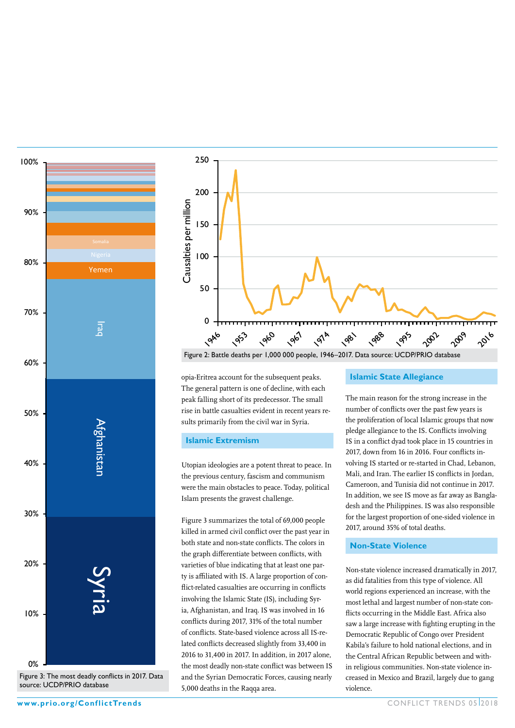

Figure 3: The most deadly conflicts in 2017. Data source: UCDP/PRIO database



opia-Eritrea account for the subsequent peaks. The general pattern is one of decline, with each peak falling short of its predecessor. The small rise in battle casualties evident in recent years results primarily from the civil war in Syria.

#### **Islamic Extremism**

Utopian ideologies are a potent threat to peace. In the previous century, fascism and communism were the main obstacles to peace. Today, political Islam presents the gravest challenge.

Figure 3 summarizes the total of 69,000 people killed in armed civil conflict over the past year in both state and non-state conflicts. The colors in the graph differentiate between conflicts, with varieties of blue indicating that at least one party is affiliated with IS. A large proportion of conflict-related casualties are occurring in conflicts involving the Islamic State (IS), including Syria, Afghanistan, and Iraq. IS was involved in 16 conflicts during 2017, 31% of the total number of conflicts. State-based violence across all IS-related conflicts decreased slightly from 33,400 in 2016 to 31,400 in 2017. In addition, in 2017 alone, the most deadly non-state conflict was between IS and the Syrian Democratic Forces, causing nearly 5,000 deaths in the Raqqa area.

**Islamic State Allegiance**

The main reason for the strong increase in the number of conflicts over the past few years is the proliferation of local Islamic groups that now pledge allegiance to the IS. Conflicts involving IS in a conflict dyad took place in 15 countries in 2017, down from 16 in 2016. Four conflicts involving IS started or re-started in Chad, Lebanon, Mali, and Iran. The earlier IS conflicts in Jordan, Cameroon, and Tunisia did not continue in 2017. In addition, we see IS move as far away as Bangladesh and the Philippines. IS was also responsible for the largest proportion of one-sided violence in 2017, around 35% of total deaths.

#### **Non-State Violence**

Non-state violence increased dramatically in 2017, as did fatalities from this type of violence. All world regions experienced an increase, with the most lethal and largest number of non-state conflicts occurring in the Middle East. Africa also saw a large increase with fighting erupting in the Democratic Republic of Congo over President Kabila's failure to hold national elections, and in the Central African Republic between and within religious communities. Non-state violence increased in Mexico and Brazil, largely due to gang violence.